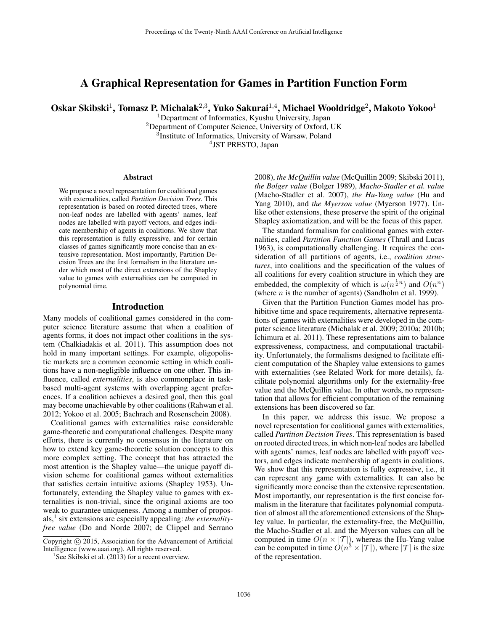# A Graphical Representation for Games in Partition Function Form

Oskar Skibski<sup>1</sup>, Tomasz P. Michalak<sup>2,3</sup>, Yuko Sakurai<sup>1,4</sup>, Michael Wooldridge<sup>2</sup>, Makoto Yokoo<sup>1</sup>

Department of Informatics, Kyushu University, Japan Department of Computer Science, University of Oxford, UK Institute of Informatics, University of Warsaw, Poland JST PRESTO, Japan

#### Abstract

We propose a novel representation for coalitional games with externalities, called *Partition Decision Trees*. This representation is based on rooted directed trees, where non-leaf nodes are labelled with agents' names, leaf nodes are labelled with payoff vectors, and edges indicate membership of agents in coalitions. We show that this representation is fully expressive, and for certain classes of games significantly more concise than an extensive representation. Most importantly, Partition Decision Trees are the first formalism in the literature under which most of the direct extensions of the Shapley value to games with externalities can be computed in polynomial time.

#### Introduction

Many models of coalitional games considered in the computer science literature assume that when a coalition of agents forms, it does not impact other coalitions in the system (Chalkiadakis et al. 2011). This assumption does not hold in many important settings. For example, oligopolistic markets are a common economic setting in which coalitions have a non-negligible influence on one other. This influence, called *externalities*, is also commonplace in taskbased multi-agent systems with overlapping agent preferences. If a coalition achieves a desired goal, then this goal may become unachievable by other coalitions (Rahwan et al. 2012; Yokoo et al. 2005; Bachrach and Rosenschein 2008).

Coalitional games with externalities raise considerable game-theoretic and computational challenges. Despite many efforts, there is currently no consensus in the literature on how to extend key game-theoretic solution concepts to this more complex setting. The concept that has attracted the most attention is the Shapley value—the unique payoff division scheme for coalitional games without externalities that satisfies certain intuitive axioms (Shapley 1953). Unfortunately, extending the Shapley value to games with externalities is non-trivial, since the original axioms are too weak to guarantee uniqueness. Among a number of proposals,<sup>1</sup> six extensions are especially appealing: *the externalityfree value* (Do and Norde 2007; de Clippel and Serrano

2008), *the McQuillin value* (McQuillin 2009; Skibski 2011), *the Bolger value* (Bolger 1989), *Macho-Stadler et al. value* (Macho-Stadler et al. 2007), *the Hu-Yang value* (Hu and Yang 2010), and *the Myerson value* (Myerson 1977). Unlike other extensions, these preserve the spirit of the original Shapley axiomatization, and will be the focus of this paper.

The standard formalism for coalitional games with externalities, called *Partition Function Games* (Thrall and Lucas 1963), is computationally challenging. It requires the consideration of all partitions of agents, i.e., *coalition structures*, into coalitions and the specification of the values of all coalitions for every coalition structure in which they are embedded, the complexity of which is  $\omega(n^{\frac{1}{2}n})$  and  $O(n^n)$ (where  $n$  is the number of agents) (Sandholm et al. 1999).

Given that the Partition Function Games model has prohibitive time and space requirements, alternative representations of games with externalities were developed in the computer science literature (Michalak et al. 2009; 2010a; 2010b; Ichimura et al. 2011). These representations aim to balance expressiveness, compactness, and computational tractability. Unfortunately, the formalisms designed to facilitate efficient computation of the Shapley value extensions to games with externalities (see Related Work for more details), facilitate polynomial algorithms only for the externality-free value and the McQuillin value. In other words, no representation that allows for efficient computation of the remaining extensions has been discovered so far.

In this paper, we address this issue. We propose a novel representation for coalitional games with externalities, called *Partition Decision Trees*. This representation is based on rooted directed trees, in which non-leaf nodes are labelled with agents' names, leaf nodes are labelled with payoff vectors, and edges indicate membership of agents in coalitions. We show that this representation is fully expressive, i.e., it can represent any game with externalities. It can also be significantly more concise than the extensive representation. Most importantly, our representation is the first concise formalism in the literature that facilitates polynomial computation of almost all the aforementioned extensions of the Shapley value. In particular, the externality-free, the McQuillin, the Macho-Stadler et al. and the Myerson values can all be computed in time  $O(n \times |\mathcal{T}|)$ , whereas the Hu-Yang value can be computed in time  $O(n^3 \times |\mathcal{T}|)$ , where  $|\mathcal{T}|$  is the size of the representation.

Copyright © 2015, Association for the Advancement of Artificial Intelligence (www.aaai.org). All rights reserved.

<sup>&</sup>lt;sup>1</sup>See Skibski et al. (2013) for a recent overview.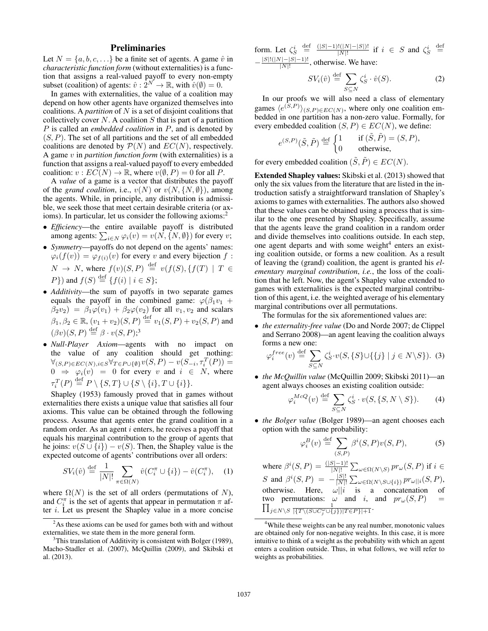# Preliminaries

Let  $N = \{a, b, c, \ldots\}$  be a finite set of agents. A game  $\hat{v}$  in *characteristic function form* (without externalities) is a function that assigns a real-valued payoff to every non-empty subset (coalition) of agents:  $\hat{v}$  :  $\hat{2}^N \rightarrow \mathbb{R}$ , with  $\hat{v}(\emptyset) = 0$ .

In games with externalities, the value of a coalition may depend on how other agents have organized themselves into coalitions. A *partition* of N is a set of disjoint coalitions that collectively cover  $N$ . A coalition  $S$  that is part of a partition P is called an *embedded coalition* in P, and is denoted by  $(S, P)$ . The set of all partitions and the set of all embedded coalitions are denoted by  $P(N)$  and  $EC(N)$ , respectively. A game v in *partition function form* (with externalities) is a function that assigns a real-valued payoff to every embedded coalition:  $v : EC(N) \to \mathbb{R}$ , where  $v(\emptyset, P) = 0$  for all P.

A *value* of a game is a vector that distributes the payoff of the *grand coalition*, i.e.,  $v(N)$  or  $v(N, \{N, \emptyset\})$ , among the agents. While, in principle, any distribution is admissible, we seek those that meet certain desirable criteria (or axioms). In particular, let us consider the following axioms: $\frac{2}{3}$ 

- *Efficiency*—the entire available payoff is distributed among agents:  $\sum_{i \in N} \varphi_i(v) = v(N, \{N, \emptyset\})$  for every  $v$ ;
- *Symmetry*—payoffs do not depend on the agents' names:  $\varphi_i(f(v)) = \varphi_{f(i)}(v)$  for every v and every bijection f:  $N \to N$ , where  $f(v)(S, P) \stackrel{\text{def}}{=} v(f(S), \{f(T) \mid T \in$  $P$ }) and  $f(S) \stackrel{\text{def}}{=} \{f(i) \mid i \in S\}$ ;
- *Additivity*—the sum of payoffs in two separate games equals the payoff in the combined game:  $\varphi(\beta_1v_1 + \beta_2v_2)$  $\beta_2v_2$  =  $\beta_1\varphi(v_1) + \beta_2\varphi(v_2)$  for all  $v_1, v_2$  and scalars  $\beta_1, \beta_2 \in \mathbb{R}, (v_1 + v_2)(S, P) \stackrel{\text{def}}{=} v_1(S, P) + v_2(S, P)$  and  $(\beta v)(S, P) \stackrel{\text{def}}{=} \beta \cdot v(S, P);$ <sup>3</sup>
- *Null-Player Axiom*—agents with no impact on the value of any coalition should get nothing:  $\forall_{(S,P)\in EC(N),i\in S}\forall_{T\in P\cup\{\emptyset\}}v(S,P)-v(S_{-i},\tau_{i}^{T}(P))=$  $0 \Rightarrow \varphi_i(v) = 0$  for every v and  $i \in N$ , where  $\tau_i^T(P) \stackrel{\text{def}}{=} P \setminus \{S, T\} \cup \{S \setminus \{i\}, T \cup \{i\}\}.$

Shapley (1953) famously proved that in games without externalities there exists a unique value that satisfies all four axioms. This value can be obtained through the following process. Assume that agents enter the grand coalition in a random order. As an agent  $i$  enters, he receives a payoff that equals his marginal contribution to the group of agents that he joins:  $v(S \cup \{i\}) - v(S)$ . Then, the Shapley value is the expected outcome of agents' contributions over all orders:

$$
SV_i(\hat{v}) \stackrel{\text{def}}{=} \frac{1}{|N|!} \sum_{\pi \in \Omega(N)} \hat{v}(C_i^{\pi} \cup \{i\}) - \hat{v}(C_i^{\pi}), \quad (1)
$$

where  $\Omega(N)$  is the set of all orders (permutations of N), and  $C_i^{\pi}$  is the set of agents that appear in permutation  $\pi$  after i. Let us present the Shapley value in a more concise form. Let  $\zeta_S^i \stackrel{\text{def}}{=} \frac{(|S|-1)!(|N|-|S|)!}{|N|!}$  $\frac{(|N|-|S|)!}{|N|!}$  if  $i \in S$  and  $\zeta_S^i \stackrel{\text{def}}{=}$  $-\frac{|S|!(|N|-|S|-1)!}{|N|!}$ 

 $\frac{(|-|S|-1)!}{|N|!}$ , otherwise. We have:

$$
SV_i(\hat{v}) \stackrel{\text{def}}{=} \sum_{S \subseteq N} \zeta_S^i \cdot \hat{v}(S). \tag{2}
$$

In our proofs we will also need a class of elementary games  $\langle e^{(S,P)} \rangle_{(S,P) \in EC(N)}$ , where only one coalition embedded in one partition has a non-zero value. Formally, for every embedded coalition  $(S, P) \in EC(N)$ , we define:

$$
e^{(S,P)}(\tilde{S}, \tilde{P}) \stackrel{\text{def}}{=} \begin{cases} 1 & \text{if } (\tilde{S}, \tilde{P}) = (S, P), \\ 0 & \text{otherwise,} \end{cases}
$$

for every embedded coalition  $(\tilde{S}, \tilde{P}) \in EC(N)$ .

Extended Shapley values: Skibski et al. (2013) showed that only the six values from the literature that are listed in the introduction satisfy a straightforward translation of Shapley's axioms to games with externalities. The authors also showed that these values can be obtained using a process that is similar to the one presented by Shapley. Specifically, assume that the agents leave the grand coalition in a random order and divide themselves into coalitions outside. In each step, one agent departs and with some weight $4$  enters an existing coalition outside, or forms a new coalition. As a result of leaving the (grand) coalition, the agent is granted his *elementary marginal contribution*, *i.e.*, the loss of the coalition that he left. Now, the agent's Shapley value extended to games with externalities is the expected marginal contribution of this agent, i.e. the weighted average of his elementary marginal contributions over all permutations.

The formulas for the six aforementioned values are:

• *the externality-free value* (Do and Norde 2007; de Clippel and Serrano 2008)—an agent leaving the coalition always forms a new one:

$$
\varphi_i^{free}(v) \stackrel{\text{def}}{=} \sum_{S \subseteq N} \zeta_S^i \cdot v(S, \{S\} \cup \{\{j\} \mid j \in N \setminus S\}). \tag{3}
$$

• *the McQuillin value* (McQuillin 2009; Skibski 2011)—an agent always chooses an existing coalition outside:

$$
\varphi_i^{McQ}(v) \stackrel{\text{def}}{=} \sum_{S \subseteq N} \zeta_S^i \cdot v(S, \{S, N \setminus S\}).\tag{4}
$$

• *the Bolger value* (Bolger 1989)—an agent chooses each option with the same probability:

$$
\varphi_i^B(v) \stackrel{\text{def}}{=} \sum_{(S,P)} \beta^i(S,P)v(S,P),\tag{5}
$$

where  $\beta^{i}(S, P) = \frac{(|S| - 1)!}{|N|!} \sum_{\omega \in \Omega(N \setminus S)} pr_{\omega}(S, P)$  if  $i \in$ S and  $\beta^{i}(S, P) = -\frac{|S|!}{|N|!}$  $\frac{|S|!}{|N|!}\sum_{\omega \in \Omega(N \setminus S\cup \{i\})}pr_{\omega||i}(S,P),$ otherwise. Here,  $\omega || i$  is a concatenation of two permutations:  $\Pi$  $\omega$  and i, and  $pr_{\omega}(S, P)$  =  $j\in N\setminus S\;\frac{1}{|\{T\setminus (S\cup C_j^{\omega}\cup\{j\})|T\in P\}|+1}.$ 

<sup>&</sup>lt;sup>2</sup>As these axioms can be used for games both with and without externalities, we state them in the more general form.

 $3$ This translation of Additivity is consistent with Bolger (1989), Macho-Stadler et al. (2007), McQuillin (2009), and Skibski et al. (2013).

<sup>4</sup>While these weights can be any real number, monotonic values are obtained only for non-negative weights. In this case, it is more intuitive to think of a weight as the probability with which an agent enters a coalition outside. Thus, in what follows, we will refer to weights as probabilities.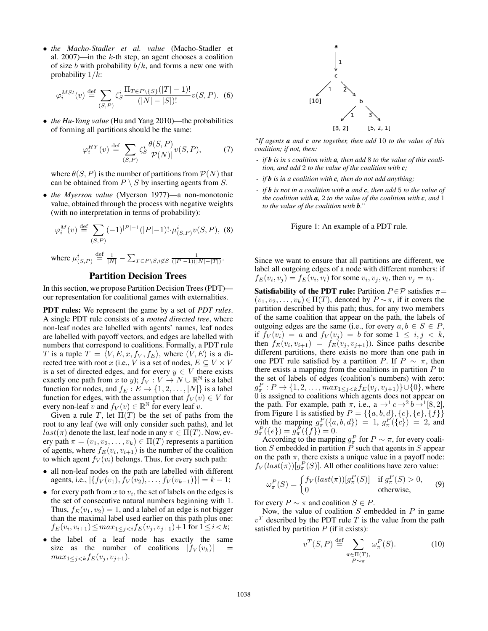• *the Macho-Stadler et al. value* (Macho-Stadler et al. 2007)—in the  $k$ -th step, an agent chooses a coalition of size b with probability  $b/k$ , and forms a new one with probability  $1/k$ :

$$
\varphi_i^{MSt}(v) \stackrel{\text{def}}{=} \sum_{(S,P)} \zeta_S^i \frac{\Pi_{T \in P \setminus \{S\}}(|T| - 1)!}{(|N| - |S|)!} v(S, P). \tag{6}
$$

• *the Hu-Yang value* (Hu and Yang 2010)—the probabilities of forming all partitions should be the same:

$$
\varphi_i^{HY}(v) \stackrel{\text{def}}{=} \sum_{(S,P)} \zeta_S^i \frac{\theta(S,P)}{|\mathcal{P}(N)|} v(S,P), \tag{7}
$$

where  $\theta(S, P)$  is the number of partitions from  $P(N)$  that can be obtained from  $P \setminus S$  by inserting agents from S.

• *the Myerson value* (Myerson 1977)—a non-monotonic value, obtained through the process with negative weights (with no interpretation in terms of probability):

$$
\varphi_i^M(v) \stackrel{\text{def}}{=} \sum_{(S,P)} (-1)^{|P|-1} (|P|-1)! \cdot \mu_{(S,P)}^i v(S,P), \tag{8}
$$

where  $\mu_{(S,P)}^i \stackrel{\text{def}}{=} \frac{1}{|N|} - \sum_{T \in P \setminus S, i \notin S} \frac{1}{(|P| - 1)(|N| - |T|)}.$ 

# Partition Decision Trees

In this section, we propose Partition Decision Trees (PDT) our representation for coalitional games with externalities.

PDT rules: We represent the game by a set of *PDT rules*. A single PDT rule consists of a *rooted directed tree*, where non-leaf nodes are labelled with agents' names, leaf nodes are labelled with payoff vectors, and edges are labelled with numbers that correspond to coalitions. Formally, a PDT rule T is a tuple  $T = \langle V, E, x, f_V, f_E \rangle$ , where  $(V, E)$  is a directed tree with root x (i.e., V is a set of nodes,  $E \subseteq V \times V$ is a set of directed edges, and for every  $y \in V$  there exists exactly one path from x to y);  $f_V: V \to N \cup \mathbb{R}^{\mathbb{N}}$  is a label function for nodes, and  $f_E : E \to \{1, 2, ..., |N|\}$  is a label function for edges, with the assumption that  $f_V(v) \in V$  for every non-leaf v and  $f_V(v) \in \mathbb{R}^{\mathbb{N}}$  for every leaf v.

Given a rule T, let  $\Pi(T)$  be the set of paths from the root to any leaf (we will only consider such paths), and let  $last(\pi)$  denote the last, leaf node in any  $\pi \in \Pi(T)$ . Now, every path  $\pi = (v_1, v_2, \dots, v_k) \in \Pi(T)$  represents a partition of agents, where  $f_E(v_i, v_{i+1})$  is the number of the coalition to which agent  $f_V(v_i)$  belongs. Thus, for every such path:

- all non-leaf nodes on the path are labelled with different agents, i.e.,  $|\{f_V(v_1), f_V(v_2), \ldots, f_V(v_{k-1})\}| = k - 1;$
- for every path from  $x$  to  $v_i$ , the set of labels on the edges is the set of consecutive natural numbers beginning with 1. Thus,  $f_E(v_1, v_2) = 1$ , and a label of an edge is not bigger than the maximal label used earlier on this path plus one:  $f_E(v_i, v_{i+1}) \le max_{1 \le j < i} f_E(v_j, v_{j+1}) + 1$  for  $1 \le i < k$ ;
- the label of a leaf node has exactly the same size as the number of coalitions  $|f_V(v_k)|$  $max_{1 \leq j \leq k} f_E(v_j, v_{j+1}).$



*"If agents a and c are together, then add* 10 *to the value of this coalition; if not, then:*

- *if b is in s coalition with a, then add* 8 *to the value of this coalition, and add* 2 *to the value of the coalition with c;*
- *if b is in a coalition with c, then do not add anything;*
- *if b is not in a coalition with a and c, then add* 5 *to the value of the coalition with a,* 2 *to the value of the coalition with c, and* 1 *to the value of the coalition with b."*



Since we want to ensure that all partitions are different, we label all outgoing edges of a node with different numbers: if  $f_E(v_i, v_j) = f_E(v_i, v_l)$  for some  $v_i, v_j, v_l$ , then  $v_j = v_l$ .

Satisfiability of the PDT rule: Partition  $P \in \mathcal{P}$  satisfies  $\pi =$  $(v_1, v_2, \ldots, v_k) \in \Pi(T)$ , denoted by  $P \sim \pi$ , if it covers the partition described by this path; thus, for any two members of the same coalition that appear on the path, the labels of outgoing edges are the same (i.e., for every  $a, b \in S \in P$ , if  $f_V(v_i) = a$  and  $f_V(v_j) = b$  for some  $1 \leq i, j \leq k$ , then  $f_E(v_i, v_{i+1}) = f_E(v_j, v_{j+1})$ ). Since paths describe different partitions, there exists no more than one path in one PDT rule satisfied by a partition P. If  $P \sim \pi$ , then there exists a mapping from the coalitions in partition  $P$  to the set of labels of edges (coalition's numbers) with zero:  $g_{\pi}^{P}: P \to \{1, 2, \ldots, max_{1 \leq j < k} f_E(v_j, v_{j+1})\} \cup \{0\}$ , where 0 is assigned to coalitions which agents does not appear on the path. For example, path  $\pi$ , i.e., a  $\rightarrow$ <sup>1</sup>  $c \rightarrow$ <sup>2</sup>  $b \rightarrow$ <sup>1</sup>[8,2], from Figure 1 is satisfied by  $P = \{\{a, b, d\}, \{c\}, \{e\}, \{f\}\}\$ with the mapping  $g^P_\pi(\{a, b, d\}) = 1$ ,  $g^P_\pi(\{c\}) = 2$ , and  $g^P_\pi(\{e\}) = g^{\bar{P}}_\pi(\{\bar{f}\}) = 0.$ 

According to the mapping  $g_{\pi}^P$  for  $P \sim \pi$ , for every coalition  $S$  embedded in partition  $\overline{P}$  such that agents in  $\overline{S}$  appear on the path  $\pi$ , there exists a unique value in a payoff node:  $f_V(last(\pi))[g_{\pi}^P(S)]$ . All other coalitions have zero value:

$$
\omega_{\pi}^{P}(S) = \begin{cases} f_{V}(last(\pi))[g_{\pi}^{P}(S)] & \text{if } g_{\pi}^{P}(S) > 0, \\ 0 & \text{otherwise,} \end{cases}
$$
(9)

for every  $P \sim \pi$  and coalition  $S \in P$ .

Now, the value of coalition  $S$  embedded in  $P$  in game  $v<sup>T</sup>$  described by the PDT rule T is the value from the path satisfied by partition  $P$  (if it exists):

$$
v^T(S, P) \stackrel{\text{def}}{=} \sum_{\substack{\pi \in \Pi(T), \\ P \sim \pi}} \omega_\pi^P(S). \tag{10}
$$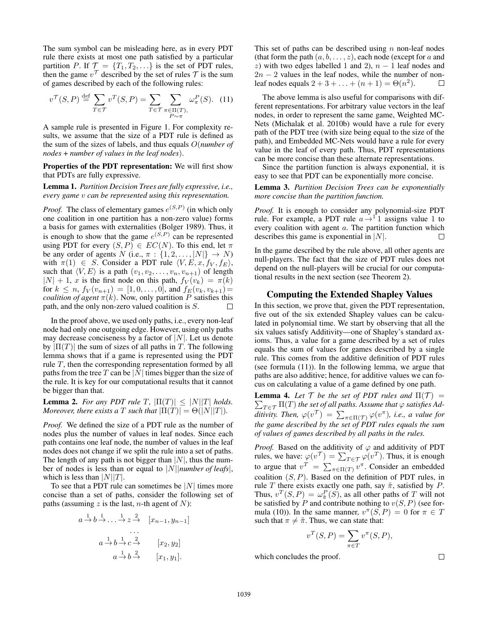The sum symbol can be misleading here, as in every PDT rule there exists at most one path satisfied by a particular partition P. If  $\mathcal{T} = \{T_1, T_2, \ldots\}$  is the set of PDT rules, then the game  $v^{\mathcal{T}}$  described by the set of rules  $\mathcal{T}$  is the sum of games described by each of the following rules:

$$
v^{\mathcal{T}}(S, P) \stackrel{\text{def}}{=} \sum_{T \in \mathcal{T}} v^T(S, P) = \sum_{T \in \mathcal{T}} \sum_{\substack{\pi \in \Pi(T), \\ P \sim \pi}} \omega_{\pi}^P(S). \tag{11}
$$

A sample rule is presented in Figure 1. For complexity results, we assume that the size of a PDT rule is defined as the sum of the sizes of labels, and thus equals O(*number of nodes* + *number of values in the leaf nodes*).

Properties of the PDT representation: We will first show that PDTs are fully expressive.

Lemma 1. *Partition Decision Trees are fully expressive, i.e., every game* v *can be represented using this representation.*

*Proof.* The class of elementary games  $e^{(S,P)}$  (in which only one coalition in one partition has a non-zero value) forms a basis for games with externalities (Bolger 1989). Thus, it is enough to show that the game  $e^{(S,P)}$  can be represented using PDT for every  $(S, P) \in EC(N)$ . To this end, let  $\pi$ be any order of agents N (i.e.,  $\pi : \{1, 2, ..., |N|\} \rightarrow N$ ) with  $\pi(1) \in S$ . Consider a PDT rule  $\langle V, E, x, f_V, f_E \rangle$ , such that  $\langle V, E \rangle$  is a path  $(v_1, v_2, \ldots, v_n, v_{n+1})$  of length  $|N| + 1$ , x is the first node on this path,  $f_V(v_k) = \pi(k)$ for  $k \leq n$ ,  $f_V(v_{n+1}) = [1, 0, \ldots, 0]$ , and  $f_E(v_k, v_{k+1}) =$ *coalition of agent*  $\pi(k)$ . Now, only partition P satisfies this path, and the only non-zero valued coalition is S.  $\Box$ 

In the proof above, we used only paths, i.e., every non-leaf node had only one outgoing edge. However, using only paths may decrease conciseness by a factor of  $|N|$ . Let us denote by  $|\Pi(T)|$  the sum of sizes of all paths in T. The following lemma shows that if a game is represented using the PDT rule  $T$ , then the corresponding representation formed by all paths from the tree T can be |N| times bigger than the size of the rule. It is key for our computational results that it cannot be bigger than that.

**Lemma 2.** *For any PDT rule T*,  $|\Pi(T)| \leq |N||T|$  *holds. Moreover, there exists a* T *such that*  $|\Pi(T)| = \Theta(|N||T|)$ *.* 

*Proof.* We defined the size of a PDT rule as the number of nodes plus the number of values in leaf nodes. Since each path contains one leaf node, the number of values in the leaf nodes does not change if we split the rule into a set of paths. The length of any path is not bigger than  $|N|$ , thus the number of nodes is less than or equal to |N||*number of leafs*|, which is less than  $|N||T|$ .

To see that a PDT rule can sometimes be  $|N|$  times more concise than a set of paths, consider the following set of paths (assuming  $z$  is the last, *n*-th agent of  $N$ ):

$$
a \xrightarrow{1} b \xrightarrow{1} \dots \xrightarrow{1} z \xrightarrow{2} [x_{n-1}, y_{n-1}]
$$
  
\n...  
\n
$$
a \xrightarrow{1} b \xrightarrow{1} c \xrightarrow{2} [x_2, y_2]
$$
  
\n
$$
a \xrightarrow{1} b \xrightarrow{2} [x_1, y_1].
$$

This set of paths can be described using  $n$  non-leaf nodes (that form the path  $(a, b, \ldots, z)$ , each node (except for a and z) with two edges labelled 1 and 2),  $n - 1$  leaf nodes and  $2n - 2$  values in the leaf nodes, while the number of nonleaf nodes equals  $2 + 3 + ... + (n + 1) = \Theta(n^2)$ . П

The above lemma is also useful for comparisons with different representations. For arbitrary value vectors in the leaf nodes, in order to represent the same game, Weighted MC-Nets (Michalak et al. 2010b) would have a rule for every path of the PDT tree (with size being equal to the size of the path), and Embedded MC-Nets would have a rule for every value in the leaf of every path. Thus, PDT representations can be more concise than these alternate representations.

Since the partition function is always exponential, it is easy to see that PDT can be exponentially more concise.

## Lemma 3. *Partition Decision Trees can be exponentially more concise than the partition function.*

*Proof.* It is enough to consider any polynomial-size PDT rule. For example, a PDT rule  $a \rightarrow 1$  assigns value 1 to every coalition with agent a. The partition function which describes this game is exponential in  $|N|$ .  $\Box$ 

In the game described by the rule above, all other agents are null-players. The fact that the size of PDT rules does not depend on the null-players will be crucial for our computational results in the next section (see Theorem 2).

### Computing the Extended Shapley Values

In this section, we prove that, given the PDT representation, five out of the six extended Shapley values can be calculated in polynomial time. We start by observing that all the six values satisfy Additivity—one of Shapley's standard axioms. Thus, a value for a game described by a set of rules equals the sum of values for games described by a single rule. This comes from the additive definition of PDT rules (see formula (11)). In the following lemma, we argue that paths are also additive; hence, for additive values we can focus on calculating a value of a game defined by one path.

**Lemma 4.** Let  $\mathcal{T}$  be the set of PDT rules and  $\Pi(\mathcal{T}) =$  $\sum_{T\in\mathcal{T}}\Pi(T)$  the set of all paths. Assume that  $\varphi$  satisfies Additivity. Then,  $\varphi(v^{\mathcal{T}}) = \sum_{\pi \in \Pi(\mathcal{T})} \varphi(v^{\pi})$ , i.e., a value for *the game described by the set of PDT rules equals the sum of values of games described by all paths in the rules.*

*Proof.* Based on the additivity of  $\varphi$  and additivity of PDT rules, we have:  $\varphi(v^{\mathcal{T}}) = \sum_{T \in \mathcal{T}} \varphi(v^T)$ . Thus, it is enough to argue that  $v^T = \sum_{\pi \in \Pi(T)} v^{\pi}$ . Consider an embedded coalition  $(S, P)$ . Based on the definition of PDT rules, in rule T there exists exactly one path, say  $\tilde{\pi}$ , satisfied by P. Thus,  $v^T(S, P) = \omega_{\tilde{\pi}}^P(S)$ , as all other paths of T will not be satisfied by P and contribute nothing to  $v(S, P)$  (see formula (10)). In the same manner,  $v^{\pi}(S, P) = 0$  for  $\pi \in T$ such that  $\pi \neq \tilde{\pi}$ . Thus, we can state that:

$$
v^T(S, P) = \sum_{\pi \in T} v^{\pi}(S, P),
$$

which concludes the proof.

 $\Box$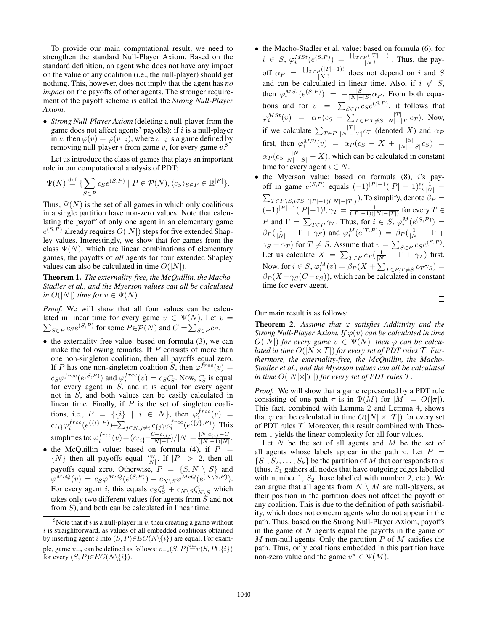To provide our main computational result, we need to strengthen the standard Null-Player Axiom. Based on the standard definition, an agent who does not have any impact on the value of any coalition (i.e., the null-player) should get nothing. This, however, does not imply that the agent has *no impact* on the payoffs of other agents. The stronger requirement of the payoff scheme is called the *Strong Null-Player Axiom*.

• *Strong Null-Player Axiom* (deleting a null-player from the game does not affect agents' payoffs): if  $i$  is a null-player in v, then  $\varphi(v) = \varphi(v_{-i})$ , where  $v_{-i}$  is a game defined by removing null-player *i* from game *v*, for every game  $v$ .<sup>5</sup>

Let us introduce the class of games that plays an important role in our computational analysis of PDT:

$$
\Psi(N) \stackrel{\text{def}}{=} \{ \sum_{S \in P} c_S e^{(S,P)} \mid P \in \mathcal{P}(N), \langle c_S \rangle_{S \in P} \in \mathbb{R}^{|P|} \}.
$$

Thus,  $\Psi(N)$  is the set of all games in which only coalitions in a single partition have non-zero values. Note that calculating the payoff of only one agent in an elementary game  $e^{(S,P)}$  already requires  $O(|N|)$  steps for five extended Shapley values. Interestingly, we show that for games from the class  $\Psi(N)$ , which are linear combinations of elementary games, the payoffs of *all* agents for four extended Shapley values can also be calculated in time  $O(|N|)$ .

Theorem 1. *The externality-free, the McQuillin, the Macho-Stadler et al., and the Myerson values can all be calculated in*  $O(|N|)$  *time for*  $v \in \Psi(N)$ *.* 

*Proof.* We will show that all four values can be calculated in linear time for every game  $\sum$  $v \in \Psi(N)$ . Let  $v =$  $_{S\in P} c_S e^{(S,P)}$  for some  $P \in \mathcal{P}(N)$  and  $C = \sum_{S \in P} c_S$ .

- the externality-free value: based on formula (3), we can make the following remarks. If  $P$  consists of more than one non-singleton coalition, then all payoffs equal zero. If P has one non-singleton coalition S, then  $\varphi^{free}(v) =$  $c_S\varphi^{free}(e^{(S,P)})$  and  $\varphi_i^{free}(v) = c_S\zeta_S^i$ . Now,  $\zeta_S^i$  is equal for every agent in  $S$ , and it is equal for every agent not in S, and both values can be easily calculated in linear time. Finally, if  $P$  is the set of singleton coalitions, i.e.,  $P = \{\{i\} \mid i \in N\}$ , then  $\varphi_i^{free}(v) =$  $c_{\{i\}}\varphi_i^{free}(e^{(\{i\},P)})+\sum_{j\in N,j\neq i}c_{\{j\}}\varphi_i^{free}(e^{(\{j\},P)}).$  This simplifies to:  $\varphi_i^{free}(v) = (c_{\{i\}} - \frac{C - c_{\{i\}}}{|N| - 1})$  $\frac{C-c_{\{i\}}}{|N|-1})/|N| = \frac{|N|c_{\{i\}}-C}{(|N|-1)|N}$  $\frac{|N|C_{i}}{|N|-1)|N|}$ .
- the McQuillin value: based on formula (4), if  $P =$  $\{N\}$  then all payoffs equal  $\frac{CN}{|N|}$ . If  $|P| > 2$ , then all payoffs equal zero. Otherwise,  $P = \{S, N \setminus S\}$  and  $\varphi^{McQ}(v) \, = \, c_S \varphi^{McQ}(e^{(S,P)}) + c_{N\setminus S} \varphi^{McQ}(e^{(N\setminus S,P)}).$ For every agent *i*, this equals  $c_S \zeta_S^i + c_{N \setminus S} \zeta_{N \setminus S}^i$  which takes only two different values (for agents from  $\dot{S}$  and not from  $S$ ), and both can be calculated in linear time.
- the Macho-Stadler et al. value: based on formula (6), for  $i \in S$ ,  $\varphi_i^{MSt}(e^{(S,P)}) = \frac{\prod_{T \in P}(|T|-1)!}{|N|!}$  $\frac{P(1^2 - 1)^2}{|N|!}$ . Thus, the payoff  $\alpha_P = \frac{\prod_{T \in P}(|T|-1)!}{|N|!}$  $\frac{P(|T|-1)!}{|N|!}$  does not depend on i and S and can be calculated in linear time. Also, if  $i \notin S$ , then  $\varphi_i^{MSt}(e^{(S,P)}) = -\frac{|S|}{|N|-}$  $\frac{|S|}{|N|-|S|} \alpha_P$ . From both equations and for  $v = \sum_{S \in P} c_S e^{(S,P)}$ , it follows that  $\varphi^{MSt}_i(v) = \alpha_P(c_S - \sum_{T \in P, T \neq S} \frac{|T|}{|N|-1})$  $\frac{|I|}{|N|-|T|}c_T$ ). Now, if we calculate  $\sum_{T \in P} \frac{|T|}{|N|-1}$  $\frac{|I|}{|N|-|T|}c_T$  (denoted X) and  $\alpha_F$ first, then  $\varphi_i^{MSt}(v) = \alpha_P(c_S - X + \frac{|S|}{|N|-1})$  $\frac{|S|}{|N|-|S|} c_S$ ) =  $\alpha_P(c_S \frac{|N|}{|N|-|S|} - X)$ , which can be calculated in constant time for every agent  $i \in N$ .
- the Myerson value: based on formula (8), i's payoff in game  $e^{(S,P)}$  equals  $(-1)^{|P|-1}(|P|-1)!(\frac{1}{|N|}-1)$  $\sum_{T \in P \setminus S, i \notin S} \frac{1}{(|P| - 1)(|N| - |T|)}$ ). To simplify, denote  $\beta_P =$  $(-1)^{|P|-1}(|P|-1)!$ ,  $\gamma_T = \frac{1}{(|P|-1)(|N|-|T|)}$  for every  $T \in$ P and  $\Gamma = \sum_{T \in P} \gamma_T$ . Thus, for  $i \in S$ ,  $\varphi_i^M(e^{(S,P)}) =$  $\beta_P(\frac{1}{|N|} - \Gamma + \gamma_S)$  and  $\varphi_i^M(e^{(T,P)}) = \beta_P(\frac{1}{|N|} - \Gamma + \gamma_S)$  $\gamma_S + \gamma_T$ ) for  $T \neq S$ . Assume that  $v = \sum_{S \in P} c_S e^{(S, P)}$ . Let us calculate  $X = \sum_{T \in P} c_T (\frac{1}{|N|} - \Gamma + \gamma_T)$  first. Now, for  $i \in S$ ,  $\varphi_i^M(v) = \beta_P(X + \sum_{T \in P, T \neq S} c_T \gamma_S) =$  $\beta_P (X + \gamma_S(C - c_S))$ , which can be calculated in constant time for every agent.

 $\Box$ 

Our main result is as follows:

**Theorem 2.** Assume that  $\varphi$  satisfies Additivity and the *Strong Null-Player Axiom. If*  $\varphi(v)$  *can be calculated in time*  $O(|N|)$  *for every game*  $v \in \Psi(N)$ *, then*  $\varphi$  *can be calculated in time*  $O(|N|\times|T|)$  *for every set of PDT rules*  $\mathcal{T}$ *. Furthermore, the externality-free, the McQuillin, the Macho-Stadler et al., and the Myerson values can all be calculated in time*  $O(|N| \times |\mathcal{T}|)$  *for every set of PDT rules*  $\mathcal{T}$ *.* 

*Proof.* We will show that a game represented by a PDT rule consisting of one path  $\pi$  is in  $\Psi(M)$  for  $|M| = O(|\pi|)$ . This fact, combined with Lemma 2 and Lemma 4, shows that  $\varphi$  can be calculated in time  $O(|N| \times |\mathcal{T}|)$  for every set of PDT rules  $\mathcal T$ . Moreover, this result combined with Theorem 1 yields the linear complexity for all four values.

Let  $N$  be the set of all agents and  $M$  be the set of all agents whose labels appear in the path  $\pi$ . Let  $P =$  $\{S_1, S_2, \ldots, S_k\}$  be the partition of M that corresponds to  $\pi$ (thus,  $S_1$  gathers all nodes that have outgoing edges labelled with number 1,  $S_2$  those labelled with number 2, etc.). We can argue that all agents from  $N \setminus M$  are null-players, as their position in the partition does not affect the payoff of any coalition. This is due to the definition of path satisfiability, which does not concern agents who do not appear in the path. Thus, based on the Strong Null-Player Axiom, payoffs in the game of  $N$  agents equal the payoffs in the game of  $M$  non-null agents. Only the partition  $P$  of  $M$  satisfies the path. Thus, only coalitions embedded in this partition have non-zero value and the game  $v^{\pi} \in \Psi(M)$ . □

<sup>&</sup>lt;sup>5</sup>Note that if i is a null-player in v, then creating a game without  $i$  is straightforward, as values of all embedded coalitions obtained by inserting agent i into  $(S, P) \in EC(N\{i\})$  are equal. For example, game  $v_{-i}$  can be defined as follows:  $v_{-i}(S, P) {\stackrel{\rm def}{=}} v(S, P \cup \{i\})$ for every  $(S, P) \in EC(N \setminus \{i\}).$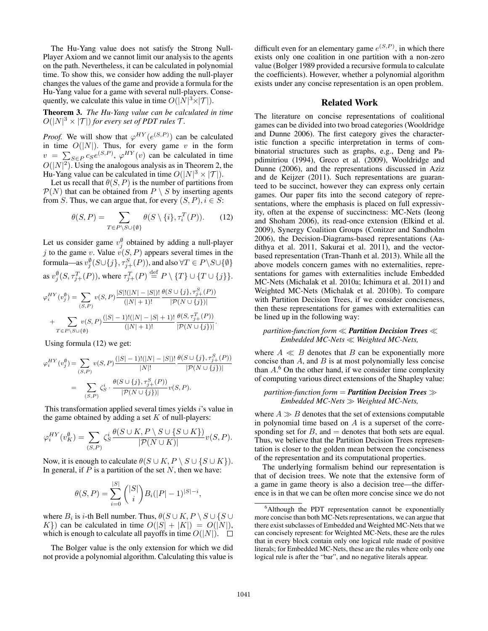The Hu-Yang value does not satisfy the Strong Null-Player Axiom and we cannot limit our analysis to the agents on the path. Nevertheless, it can be calculated in polynomial time. To show this, we consider how adding the null-player changes the values of the game and provide a formula for the Hu-Yang value for a game with several null-players. Consequently, we calculate this value in time  $O(|\tilde{N}|^3 \times |\mathcal{T}|)$ .

# Theorem 3. *The Hu-Yang value can be calculated in time*  $O(|N|^3 \times |\mathcal{T}|)$  for every set of PDT rules  $\mathcal{T}$ *.*

*Proof.* We will show that  $\varphi^{HY}(e^{(S,P)})$  can be calculated in time  $O(|N|)$ . Thus, for every game v in the form  $v = \sum_{S \in P} c_S e^{(S, P)}, \varphi^{HY}(v)$  can be calculated in time  $O(|N|^2)$ . Using the analogous analysis as in Theorem 2, the Hu-Yang value can be calculated in time  $O(|N|^3 \times |\mathcal{T}|)$ .

Let us recall that  $\theta(S, P)$  is the number of partitions from  $P(N)$  that can be obtained from  $P \setminus S$  by inserting agents from S. Thus, we can argue that, for every  $(S, P), i \in S$ :

$$
\theta(S, P) = \sum_{T \in P \setminus S \cup \{\emptyset\}} \theta(S \setminus \{i\}, \tau_i^T(P)). \tag{12}
$$

Let us consider game  $v_j^{\emptyset}$  obtained by adding a null-player j to the game v. Value  $v(S, P)$  appears several times in the formula—as  $v_j^{\emptyset}(S\cup\{j\},\tau_{j+}^S(P)),$  and also  $\forall T\in P\backslash S\cup\{\emptyset\}$ as  $v_j^{\emptyset}(S, \tau_{j+}^T(P))$ , where  $\tau_{j+}^T(P) \stackrel{\text{def}}{=} P \setminus \{T\} \cup \{T \cup \{j\}\}.$ 

$$
\varphi_i^{HY}(v_j^{\emptyset}) = \sum_{(S,P)} v(S,P) \frac{|S|!(|N|-|S|)!}{(|N|+1)!} \frac{\theta(S \cup \{j\}, \tau_{j+}^S(P))}{|\mathcal{P}(N \cup \{j\})|} + \sum_{T \in P \setminus S \cup \{\emptyset\}} v(S,P) \frac{(|S|-1)!(|N|-|S|+1)!}{(|N|+1)!} \frac{\theta(S, \tau_{j+}^T(P))}{|\mathcal{P}(N \cup \{j\})|}.
$$

Using formula (12) we get:

$$
\varphi_i^{HY}(v_j^{\emptyset}) = \sum_{(S,P)} v(S,P) \frac{(|S|-1)!(|N|-|S|)!}{|N|!} \frac{\theta(S \cup \{j\}, \tau_{j+}^S(P))}{|\mathcal{P}(N \cup \{j\})|}
$$
  
= 
$$
\sum_{(S,P)} \zeta_S^i \cdot \frac{\theta(S \cup \{j\}, \tau_{j+}^S(P))}{|\mathcal{P}(N \cup \{j\})|} v(S,P).
$$

This transformation applied several times yields i's value in the game obtained by adding a set  $K$  of null-players:

$$
\varphi_i^{HY}(v_K^{\emptyset}) = \sum_{(S,P)} \zeta_S^i \frac{\theta(S \cup K, P \setminus S \cup \{S \cup K\})}{|\mathcal{P}(N \cup K)|} v(S, P).
$$

Now, it is enough to calculate  $\theta(S \cup K, P \setminus S \cup \{S \cup K\})$ . In general, if  $P$  is a partition of the set  $N$ , then we have:

$$
\theta(S, P) = \sum_{i=0}^{|S|} \binom{|S|}{i} B_i (|P| - 1)^{|S| - i},
$$

where  $B_i$  is *i*-th Bell number. Thus,  $\theta(S \cup K, P \setminus S \cup \{S \cup$  $K$ ) can be calculated in time  $O(|S| + |K|) = O(|N|)$ , which is enough to calculate all payoffs in time  $O(|N|)$ .  $\square$ 

The Bolger value is the only extension for which we did not provide a polynomial algorithm. Calculating this value is

difficult even for an elementary game  $e^{(S,P)}$ , in which there exists only one coalition in one partition with a non-zero value (Bolger 1989 provided a recursive formula to calculate the coefficients). However, whether a polynomial algorithm exists under any concise representation is an open problem.

### Related Work

The literature on concise representations of coalitional games can be divided into two broad categories (Wooldridge and Dunne 2006). The first category gives the characteristic function a specific interpretation in terms of combinatorial structures such as graphs, e.g., Deng and Papdimitriou (1994), Greco et al. (2009), Wooldridge and Dunne (2006), and the representations discussed in Aziz and de Keijzer (2011). Such representations are guaranteed to be succinct, however they can express only certain games. Our paper fits into the second category of representations, where the emphasis is placed on full expressivity, often at the expense of succinctness: MC-Nets (Ieong and Shoham 2006), its read-once extension (Elkind et al. 2009), Synergy Coalition Groups (Conitzer and Sandholm 2006), the Decision-Diagrams-based representations (Aadithya et al. 2011, Sakurai et al. 2011), and the vectorbased representation (Tran-Thanh et al. 2013). While all the above models concern games with no externalities, representations for games with externalities include Embedded MC-Nets (Michalak et al. 2010a; Ichimura et al. 2011) and Weighted MC-Nets (Michalak et al. 2010b). To compare with Partition Decision Trees, if we consider conciseness, then these representations for games with externalities can be lined up in the following way:

#### *partition-function form Partition Decision Trees Embedded MC-Nets Weighted MC-Nets,*

where  $A \ll B$  denotes that B can be exponentially more concise than  $A$ , and  $B$  is at most polynomially less concise than  $A<sup>6</sup>$  On the other hand, if we consider time complexity of computing various direct extensions of the Shapley value:

#### *partition-function form* = *Partition Decision Trees Embedded MC-Nets Weighted MC-Nets,*

where  $A \gg B$  denotes that the set of extensions computable in polynomial time based on  $A$  is a superset of the corresponding set for  $B$ , and  $=$  denotes that both sets are equal. Thus, we believe that the Partition Decision Trees representation is closer to the golden mean between the conciseness of the representation and its computational properties.

The underlying formalism behind our representation is that of decision trees. We note that the extensive form of a game in game theory is also a decision tree—the difference is in that we can be often more concise since we do not

 $6$ Although the PDT representation cannot be exponentially more concise than both MC-Nets representations, we can argue that there exist subclasses of Embedded and Weighted MC-Nets that we can concisely represent: for Weighted MC-Nets, these are the rules that in every block contain only one logical rule made of positive literals; for Embedded MC-Nets, these are the rules where only one logical rule is after the "bar", and no negative literals appear.